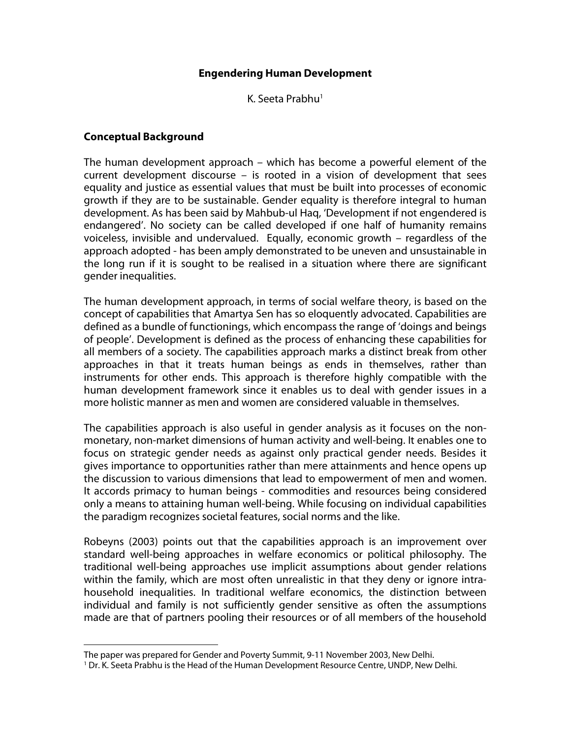#### **Engendering Human Development**

K. Seeta Prabhu<sup>1</sup>

#### **Conceptual Background**

 $\overline{a}$ 

The human development approach – which has become a powerful element of the current development discourse – is rooted in a vision of development that sees equality and justice as essential values that must be built into processes of economic growth if they are to be sustainable. Gender equality is therefore integral to human development. As has been said by Mahbub-ul Haq, 'Development if not engendered is endangered'. No society can be called developed if one half of humanity remains voiceless, invisible and undervalued. Equally, economic growth – regardless of the approach adopted - has been amply demonstrated to be uneven and unsustainable in the long run if it is sought to be realised in a situation where there are significant gender inequalities.

The human development approach, in terms of social welfare theory, is based on the concept of capabilities that Amartya Sen has so eloquently advocated. Capabilities are defined as a bundle of functionings, which encompass the range of 'doings and beings of people'. Development is defined as the process of enhancing these capabilities for all members of a society. The capabilities approach marks a distinct break from other approaches in that it treats human beings as ends in themselves, rather than instruments for other ends. This approach is therefore highly compatible with the human development framework since it enables us to deal with gender issues in a more holistic manner as men and women are considered valuable in themselves.

The capabilities approach is also useful in gender analysis as it focuses on the nonmonetary, non-market dimensions of human activity and well-being. It enables one to focus on strategic gender needs as against only practical gender needs. Besides it gives importance to opportunities rather than mere attainments and hence opens up the discussion to various dimensions that lead to empowerment of men and women. It accords primacy to human beings - commodities and resources being considered only a means to attaining human well-being. While focusing on individual capabilities the paradigm recognizes societal features, social norms and the like.

Robeyns (2003) points out that the capabilities approach is an improvement over standard well-being approaches in welfare economics or political philosophy. The traditional well-being approaches use implicit assumptions about gender relations within the family, which are most often unrealistic in that they deny or ignore intrahousehold inequalities. In traditional welfare economics, the distinction between individual and family is not sufficiently gender sensitive as often the assumptions made are that of partners pooling their resources or of all members of the household

<span id="page-0-0"></span>The paper was prepared for Gender and Poverty Summit, 9-11 November 2003, New Delhi.

<sup>1</sup> Dr. K. Seeta Prabhu is the Head of the Human Development Resource Centre, UNDP, New Delhi.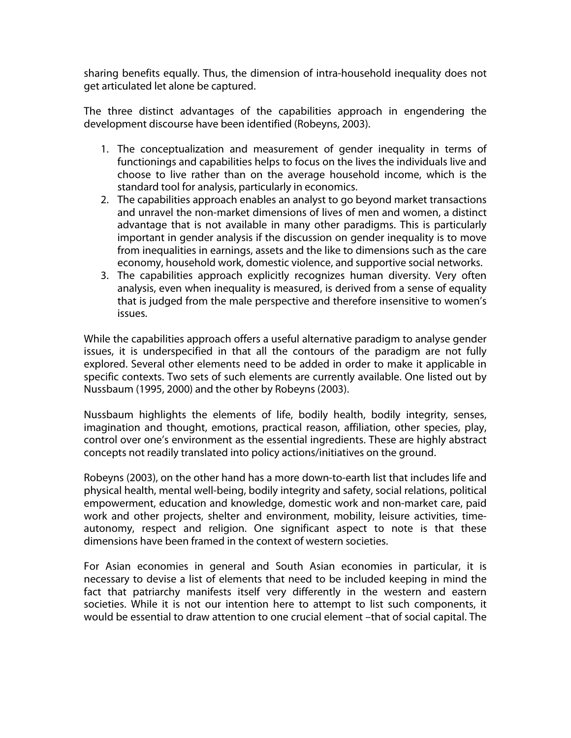sharing benefits equally. Thus, the dimension of intra-household inequality does not get articulated let alone be captured.

The three distinct advantages of the capabilities approach in engendering the development discourse have been identified (Robeyns, 2003).

- 1. The conceptualization and measurement of gender inequality in terms of functionings and capabilities helps to focus on the lives the individuals live and choose to live rather than on the average household income, which is the standard tool for analysis, particularly in economics.
- 2. The capabilities approach enables an analyst to go beyond market transactions and unravel the non-market dimensions of lives of men and women, a distinct advantage that is not available in many other paradigms. This is particularly important in gender analysis if the discussion on gender inequality is to move from inequalities in earnings, assets and the like to dimensions such as the care economy, household work, domestic violence, and supportive social networks.
- 3. The capabilities approach explicitly recognizes human diversity. Very often analysis, even when inequality is measured, is derived from a sense of equality that is judged from the male perspective and therefore insensitive to women's issues.

While the capabilities approach offers a useful alternative paradigm to analyse gender issues, it is underspecified in that all the contours of the paradigm are not fully explored. Several other elements need to be added in order to make it applicable in specific contexts. Two sets of such elements are currently available. One listed out by Nussbaum (1995, 2000) and the other by Robeyns (2003).

Nussbaum highlights the elements of life, bodily health, bodily integrity, senses, imagination and thought, emotions, practical reason, affiliation, other species, play, control over one's environment as the essential ingredients. These are highly abstract concepts not readily translated into policy actions/initiatives on the ground.

Robeyns (2003), on the other hand has a more down-to-earth list that includes life and physical health, mental well-being, bodily integrity and safety, social relations, political empowerment, education and knowledge, domestic work and non-market care, paid work and other projects, shelter and environment, mobility, leisure activities, timeautonomy, respect and religion. One significant aspect to note is that these dimensions have been framed in the context of western societies.

For Asian economies in general and South Asian economies in particular, it is necessary to devise a list of elements that need to be included keeping in mind the fact that patriarchy manifests itself very differently in the western and eastern societies. While it is not our intention here to attempt to list such components, it would be essential to draw attention to one crucial element –that of social capital. The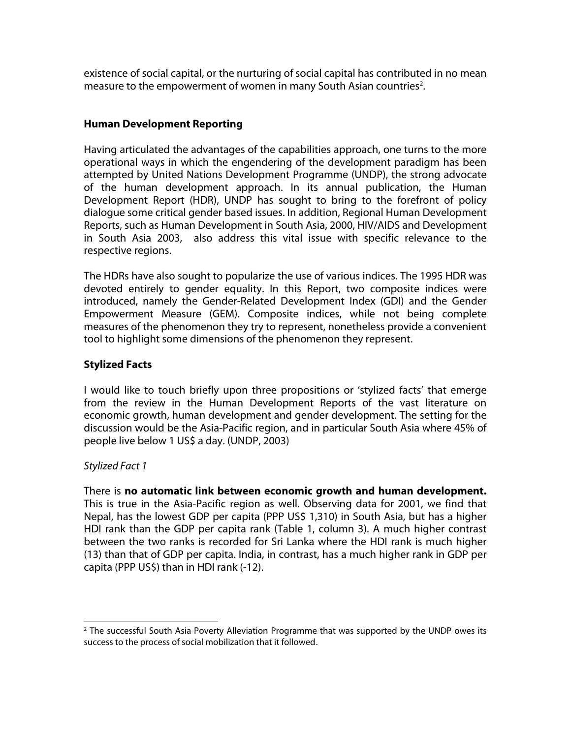existence of social capital, or the nurturing of social capital has contributed in no mean measure to the empowerment of women in many South Asian countries<sup>2</sup>.

#### **Human Development Reporting**

Having articulated the advantages of the capabilities approach, one turns to the more operational ways in which the engendering of the development paradigm has been attempted by United Nations Development Programme (UNDP), the strong advocate of the human development approach. In its annual publication, the Human Development Report (HDR), UNDP has sought to bring to the forefront of policy dialogue some critical gender based issues. In addition, Regional Human Development Reports, such as Human Development in South Asia, 2000, HIV/AIDS and Development in South Asia 2003, also address this vital issue with specific relevance to the respective regions.

The HDRs have also sought to popularize the use of various indices. The 1995 HDR was devoted entirely to gender equality. In this Report, two composite indices were introduced, namely the Gender-Related Development Index (GDI) and the Gender Empowerment Measure (GEM). Composite indices, while not being complete measures of the phenomenon they try to represent, nonetheless provide a convenient tool to highlight some dimensions of the phenomenon they represent.

## **Stylized Facts**

I would like to touch briefly upon three propositions or 'stylized facts' that emerge from the review in the Human Development Reports of the vast literature on economic growth, human development and gender development. The setting for the discussion would be the Asia-Pacific region, and in particular South Asia where 45% of people live below 1 US\$ a day. (UNDP, 2003)

## Stylized Fact 1

There is **no automatic link between economic growth and human development.**  This is true in the Asia-Pacific region as well. Observing data for 2001, we find that Nepal, has the lowest GDP per capita (PPP US\$ 1,310) in South Asia, but has a higher HDI rank than the GDP per capita rank (Table 1, column 3). A much higher contrast between the two ranks is recorded for Sri Lanka where the HDI rank is much higher (13) than that of GDP per capita. India, in contrast, has a much higher rank in GDP per capita (PPP US\$) than in HDI rank (-12).

<span id="page-2-0"></span> $\overline{a}$  $<sup>2</sup>$  The successful South Asia Poverty Alleviation Programme that was supported by the UNDP owes its</sup> success to the process of social mobilization that it followed.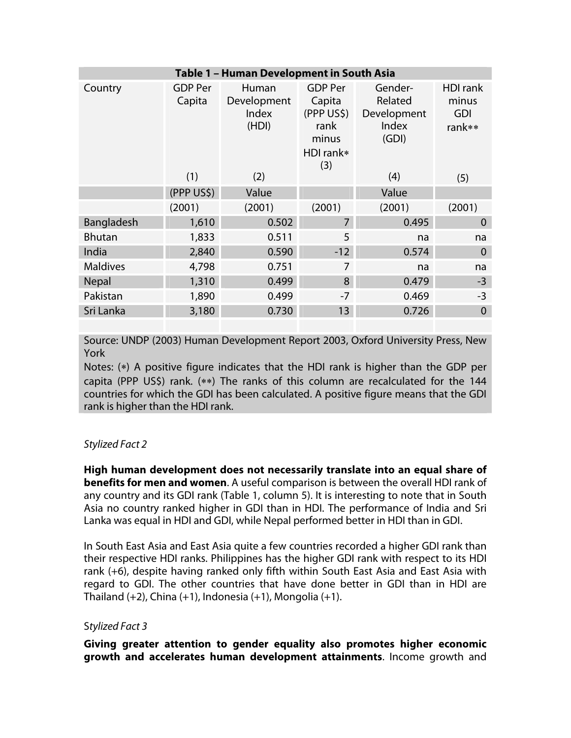| Table 1 - Human Development in South Asia |                          |                                        |                                                                             |                                                     |                                                  |  |  |  |  |  |  |
|-------------------------------------------|--------------------------|----------------------------------------|-----------------------------------------------------------------------------|-----------------------------------------------------|--------------------------------------------------|--|--|--|--|--|--|
| Country                                   | <b>GDP Per</b><br>Capita | Human<br>Development<br>Index<br>(HDI) | <b>GDP Per</b><br>Capita<br>(PPP US\$)<br>rank<br>minus<br>HDI rank*<br>(3) | Gender-<br>Related<br>Development<br>Index<br>(GDI) | <b>HDI</b> rank<br>minus<br><b>GDI</b><br>rank** |  |  |  |  |  |  |
|                                           | (1)                      | (2)                                    |                                                                             | (4)                                                 | (5)                                              |  |  |  |  |  |  |
|                                           | (PPP US\$)               | Value                                  |                                                                             | Value                                               |                                                  |  |  |  |  |  |  |
|                                           | (2001)                   | (2001)                                 | (2001)                                                                      | (2001)                                              | (2001)                                           |  |  |  |  |  |  |
| Bangladesh                                | 1,610                    | 0.502                                  | $\overline{7}$                                                              | 0.495                                               | $\overline{0}$                                   |  |  |  |  |  |  |
| <b>Bhutan</b>                             | 1,833                    | 0.511                                  | 5                                                                           | na                                                  | na                                               |  |  |  |  |  |  |
| India                                     | 2,840                    | 0.590                                  | $-12$                                                                       | 0.574                                               | $\overline{0}$                                   |  |  |  |  |  |  |
| <b>Maldives</b>                           | 4,798                    | 0.751                                  | $\overline{7}$                                                              | na                                                  | na                                               |  |  |  |  |  |  |
| <b>Nepal</b>                              | 1,310                    | 0.499                                  | 8                                                                           | 0.479                                               | $-3$                                             |  |  |  |  |  |  |
| Pakistan                                  | 1,890                    | 0.499                                  | $-7$                                                                        | 0.469                                               | $-3$                                             |  |  |  |  |  |  |
| Sri Lanka                                 | 3,180                    | 0.730                                  | 13                                                                          | 0.726                                               | $\overline{0}$                                   |  |  |  |  |  |  |

Source: UNDP (2003) Human Development Report 2003, Oxford University Press, New York

Notes: (∗) A positive figure indicates that the HDI rank is higher than the GDP per capita (PPP US\$) rank. (∗∗) The ranks of this column are recalculated for the 144 countries for which the GDI has been calculated. A positive figure means that the GDI rank is higher than the HDI rank.

## Stylized Fact 2

**High human development does not necessarily translate into an equal share of benefits for men and women**. A useful comparison is between the overall HDI rank of any country and its GDI rank (Table 1, column 5). It is interesting to note that in South Asia no country ranked higher in GDI than in HDI. The performance of India and Sri Lanka was equal in HDI and GDI, while Nepal performed better in HDI than in GDI.

In South East Asia and East Asia quite a few countries recorded a higher GDI rank than their respective HDI ranks. Philippines has the higher GDI rank with respect to its HDI rank (+6), despite having ranked only fifth within South East Asia and East Asia with regard to GDI. The other countries that have done better in GDI than in HDI are Thailand  $(+2)$ , China  $(+1)$ , Indonesia  $(+1)$ , Mongolia  $(+1)$ .

## Stylized Fact 3

**Giving greater attention to gender equality also promotes higher economic growth and accelerates human development attainments**. Income growth and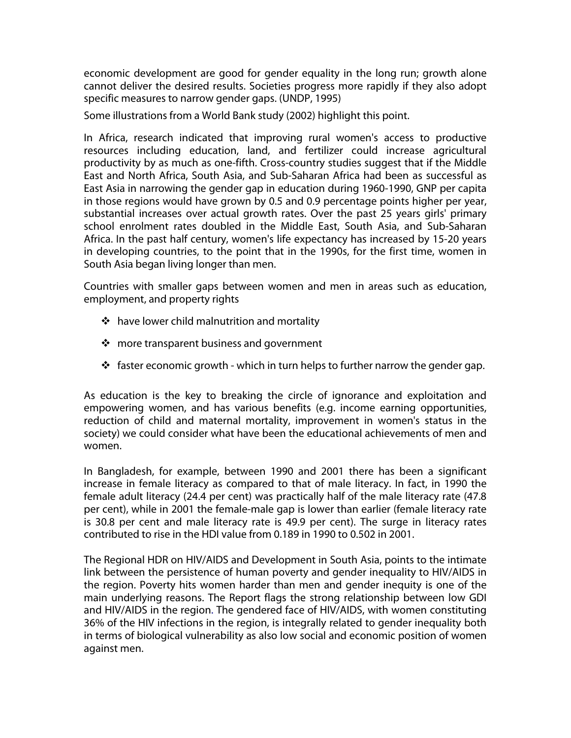economic development are good for gender equality in the long run; growth alone cannot deliver the desired results. Societies progress more rapidly if they also adopt specific measures to narrow gender gaps. (UNDP, 1995)

Some illustrations from a World Bank study (2002) highlight this point.

In Africa, research indicated that improving rural women's access to productive resources including education, land, and fertilizer could increase agricultural productivity by as much as one-fifth. Cross-country studies suggest that if the Middle East and North Africa, South Asia, and Sub-Saharan Africa had been as successful as East Asia in narrowing the gender gap in education during 1960-1990, GNP per capita in those regions would have grown by 0.5 and 0.9 percentage points higher per year, substantial increases over actual growth rates. Over the past 25 years girls' primary school enrolment rates doubled in the Middle East, South Asia, and Sub-Saharan Africa. In the past half century, women's life expectancy has increased by 15-20 years in developing countries, to the point that in the 1990s, for the first time, women in South Asia began living longer than men.

Countries with smaller gaps between women and men in areas such as education, employment, and property rights

- $\cdot$  have lower child malnutrition and mortality
- ❖ more transparent business and government
- $\cdot \cdot$  faster economic growth which in turn helps to further narrow the gender gap.

As education is the key to breaking the circle of ignorance and exploitation and empowering women, and has various benefits (e.g. income earning opportunities, reduction of child and maternal mortality, improvement in women's status in the society) we could consider what have been the educational achievements of men and women.

In Bangladesh, for example, between 1990 and 2001 there has been a significant increase in female literacy as compared to that of male literacy. In fact, in 1990 the female adult literacy (24.4 per cent) was practically half of the male literacy rate (47.8 per cent), while in 2001 the female-male gap is lower than earlier (female literacy rate is 30.8 per cent and male literacy rate is 49.9 per cent). The surge in literacy rates contributed to rise in the HDI value from 0.189 in 1990 to 0.502 in 2001.

The Regional HDR on HIV/AIDS and Development in South Asia, points to the intimate link between the persistence of human poverty and gender inequality to HIV/AIDS in the region. Poverty hits women harder than men and gender inequity is one of the main underlying reasons. The Report flags the strong relationship between low GDI and HIV/AIDS in the region. The gendered face of HIV/AIDS, with women constituting 36% of the HIV infections in the region, is integrally related to gender inequality both in terms of biological vulnerability as also low social and economic position of women against men.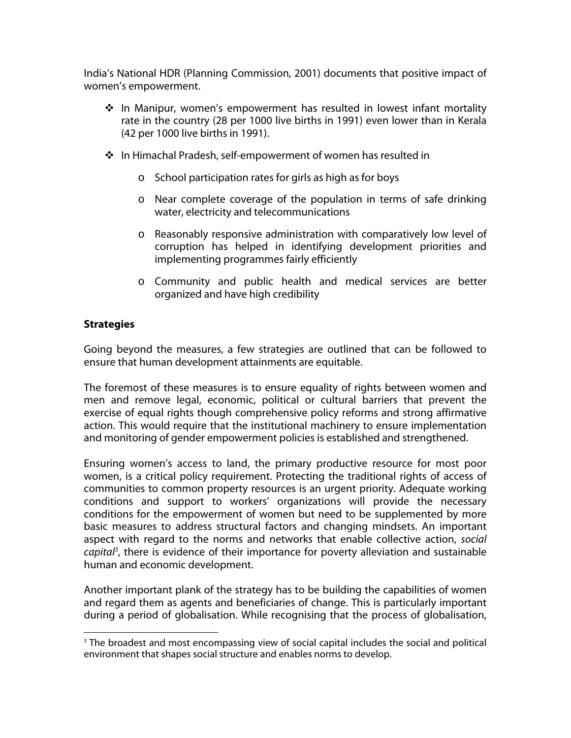India's National HDR (Planning Commission, 2001) documents that positive impact of women's empowerment.

- $\div$  In Manipur, women's empowerment has resulted in lowest infant mortality rate in the country (28 per 1000 live births in 1991) even lower than in Kerala (42 per 1000 live births in 1991).
- ❖ In Himachal Pradesh, self-empowerment of women has resulted in
	- o School participation rates for girls as high as for boys
	- o Near complete coverage of the population in terms of safe drinking water, electricity and telecommunications
	- o Reasonably responsive administration with comparatively low level of corruption has helped in identifying development priorities and implementing programmes fairly efficiently
	- o Community and public health and medical services are better organized and have high credibility

# **Strategies**

Going beyond the measures, a few strategies are outlined that can be followed to ensure that human development attainments are equitable.

The foremost of these measures is to ensure equality of rights between women and men and remove legal, economic, political or cultural barriers that prevent the exercise of equal rights though comprehensive policy reforms and strong affirmative action. This would require that the institutional machinery to ensure implementation and monitoring of gender empowerment policies is established and strengthened.

Ensuring women's access to land, the primary productive resource for most poor women, is a critical policy requirement. Protecting the traditional rights of access of communities to common property resources is an urgent priority. Adequate working conditions and support to workers' organizations will provide the necessary conditions for the empowerment of women but need to be supplemented by more basic measures to address structural factors and changing mindsets. An important aspect with regard to the norms and networks that enable collective action, social capital<sup>3</sup>, there is evidence of their importance for poverty alleviation and sustainable human and economic development.

Another important plank of the strategy has to be building the capabilities of women and regard them as agents and beneficiaries of change. This is particularly important during a period of globalisation. While recognising that the process of globalisation,

<span id="page-5-0"></span> $\overline{a}$ <sup>3</sup> The broadest and most encompassing view of social capital includes the social and political environment that shapes social structure and enables norms to develop.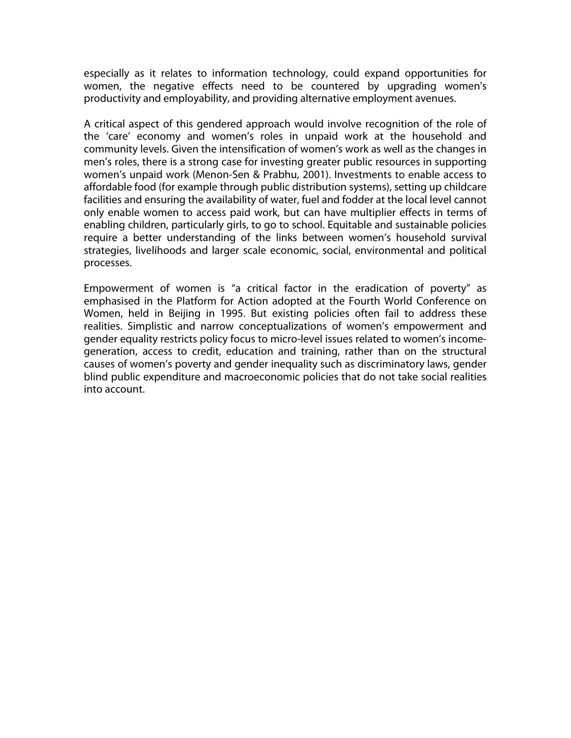especially as it relates to information technology, could expand opportunities for women, the negative effects need to be countered by upgrading women's productivity and employability, and providing alternative employment avenues.

A critical aspect of this gendered approach would involve recognition of the role of the 'care' economy and women's roles in unpaid work at the household and community levels. Given the intensification of women's work as well as the changes in men's roles, there is a strong case for investing greater public resources in supporting women's unpaid work (Menon-Sen & Prabhu, 2001). Investments to enable access to affordable food (for example through public distribution systems), setting up childcare facilities and ensuring the availability of water, fuel and fodder at the local level cannot only enable women to access paid work, but can have multiplier effects in terms of enabling children, particularly girls, to go to school. Equitable and sustainable policies require a better understanding of the links between women's household survival strategies, livelihoods and larger scale economic, social, environmental and political processes.

Empowerment of women is "a critical factor in the eradication of poverty" as emphasised in the Platform for Action adopted at the Fourth World Conference on Women, held in Beijing in 1995. But existing policies often fail to address these realities. Simplistic and narrow conceptualizations of women's empowerment and gender equality restricts policy focus to micro-level issues related to women's incomegeneration, access to credit, education and training, rather than on the structural causes of women's poverty and gender inequality such as discriminatory laws, gender blind public expenditure and macroeconomic policies that do not take social realities into account.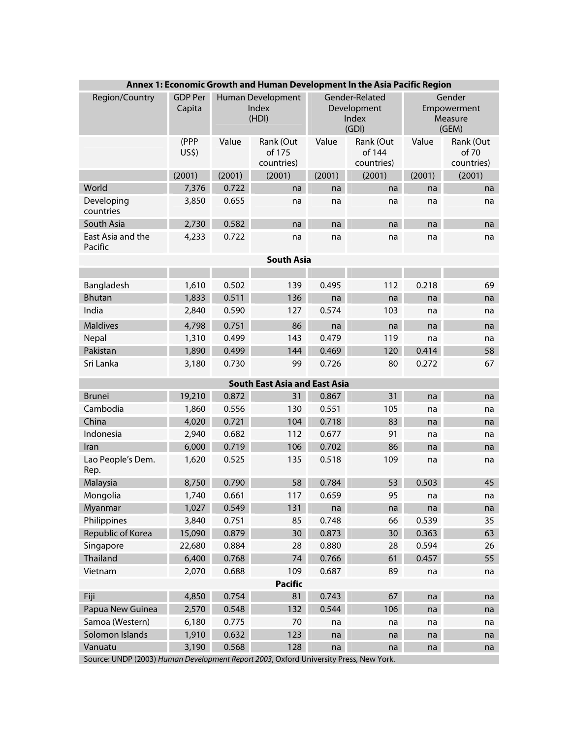| Annex 1: Economic Growth and Human Development In the Asia Pacific Region |                          |                                     |                                      |                                                 |                                   |                                           |                                  |  |  |  |  |
|---------------------------------------------------------------------------|--------------------------|-------------------------------------|--------------------------------------|-------------------------------------------------|-----------------------------------|-------------------------------------------|----------------------------------|--|--|--|--|
| Region/Country                                                            | <b>GDP Per</b><br>Capita | Human Development<br>Index<br>(HDI) |                                      | Gender-Related<br>Development<br>Index<br>(GDI) |                                   | Gender<br>Empowerment<br>Measure<br>(GEM) |                                  |  |  |  |  |
|                                                                           | (PPP<br>US\$             | Value                               | Rank (Out<br>of 175<br>countries)    | Value                                           | Rank (Out<br>of 144<br>countries) | Value                                     | Rank (Out<br>of 70<br>countries) |  |  |  |  |
|                                                                           | (2001)                   | (2001)                              | (2001)                               | (2001)                                          | (2001)                            | (2001)                                    | (2001)                           |  |  |  |  |
| World                                                                     | 7,376                    | 0.722                               | na                                   | na                                              | na                                | na                                        | na                               |  |  |  |  |
| Developing<br>countries                                                   | 3,850                    | 0.655                               | na                                   | na                                              | na                                | na                                        | na                               |  |  |  |  |
| South Asia                                                                | 2,730                    | 0.582                               | na                                   | na                                              | na                                | na                                        | na                               |  |  |  |  |
| East Asia and the<br>Pacific                                              | 4,233                    | 0.722                               | na                                   | na                                              | na                                | na                                        | na                               |  |  |  |  |
|                                                                           |                          |                                     | <b>South Asia</b>                    |                                                 |                                   |                                           |                                  |  |  |  |  |
|                                                                           |                          |                                     |                                      |                                                 |                                   |                                           |                                  |  |  |  |  |
| Bangladesh                                                                | 1,610                    | 0.502                               | 139                                  | 0.495                                           | 112                               | 0.218                                     | 69                               |  |  |  |  |
| <b>Bhutan</b>                                                             | 1,833                    | 0.511                               | 136                                  | na                                              | na                                | na                                        | na                               |  |  |  |  |
| India                                                                     | 2,840                    | 0.590                               | 127                                  | 0.574                                           | 103                               | na                                        | na                               |  |  |  |  |
| <b>Maldives</b>                                                           | 4,798                    | 0.751                               | 86                                   | na                                              | na                                | na                                        | na                               |  |  |  |  |
| Nepal                                                                     | 1,310                    | 0.499                               | 143                                  | 0.479                                           | 119                               | na                                        | na                               |  |  |  |  |
| Pakistan                                                                  | 1,890                    | 0.499                               | 144                                  | 0.469                                           | 120                               | 0.414                                     | 58                               |  |  |  |  |
| Sri Lanka                                                                 | 3,180                    | 0.730                               | 99                                   | 0.726                                           | 80                                | 0.272                                     | 67                               |  |  |  |  |
|                                                                           |                          |                                     | <b>South East Asia and East Asia</b> |                                                 |                                   |                                           |                                  |  |  |  |  |
| <b>Brunei</b>                                                             | 19,210                   | 0.872                               | 31                                   | 0.867                                           | 31                                | na                                        | na                               |  |  |  |  |
| Cambodia                                                                  | 1,860                    | 0.556                               | 130                                  | 0.551                                           | 105                               | na                                        | na                               |  |  |  |  |
| China                                                                     | 4,020                    | 0.721                               | 104                                  | 0.718                                           | 83                                | na                                        | na                               |  |  |  |  |
| Indonesia                                                                 | 2,940                    | 0.682                               | 112                                  | 0.677                                           | 91                                | na                                        | na                               |  |  |  |  |
| Iran                                                                      | 6,000                    | 0.719                               | 106                                  | 0.702                                           | 86                                | na                                        | na                               |  |  |  |  |
| Lao People's Dem.<br>Rep.                                                 | 1,620                    | 0.525                               | 135                                  | 0.518                                           | 109                               | na                                        | na                               |  |  |  |  |
| Malaysia                                                                  | 8,750                    | 0.790                               | 58                                   | 0.784                                           | 53                                | 0.503                                     | 45                               |  |  |  |  |
| Mongolia                                                                  | 1,740                    | 0.661                               | 117                                  | 0.659                                           | 95                                | na                                        | na                               |  |  |  |  |
| Myanmar                                                                   | 1,027                    | 0.549                               | 131                                  | na                                              | na                                | na                                        | na                               |  |  |  |  |
| Philippines                                                               | 3,840                    | 0.751                               | 85                                   | 0.748                                           | 66                                | 0.539                                     | 35                               |  |  |  |  |
| Republic of Korea                                                         | 15,090                   | 0.879                               | 30                                   | 0.873                                           | 30                                | 0.363                                     | 63                               |  |  |  |  |
| Singapore                                                                 | 22,680                   | 0.884                               | 28                                   | 0.880                                           | 28                                | 0.594                                     | 26                               |  |  |  |  |
| Thailand                                                                  | 6,400                    | 0.768                               | 74                                   | 0.766                                           | 61                                | 0.457                                     | 55                               |  |  |  |  |
| Vietnam                                                                   | 2,070                    | 0.688                               | 109                                  | 0.687                                           | 89                                | na                                        | na                               |  |  |  |  |
| <b>Pacific</b>                                                            |                          |                                     |                                      |                                                 |                                   |                                           |                                  |  |  |  |  |
| Fiji                                                                      | 4,850                    | 0.754                               | 81                                   | 0.743                                           | 67                                | na                                        | na                               |  |  |  |  |
| Papua New Guinea                                                          | 2,570                    | 0.548                               | 132                                  | 0.544                                           | 106                               | na                                        | na                               |  |  |  |  |
| Samoa (Western)                                                           | 6,180                    | 0.775                               | 70                                   | na                                              | na                                | na                                        | na                               |  |  |  |  |
| Solomon Islands                                                           | 1,910                    | 0.632                               | 123                                  | na                                              | na                                | na                                        | na                               |  |  |  |  |
| Vanuatu                                                                   | 3,190                    | 0.568                               | 128                                  | na                                              | na                                | na                                        | na                               |  |  |  |  |

Source: UNDP (2003) Human Development Report 2003, Oxford University Press, New York.